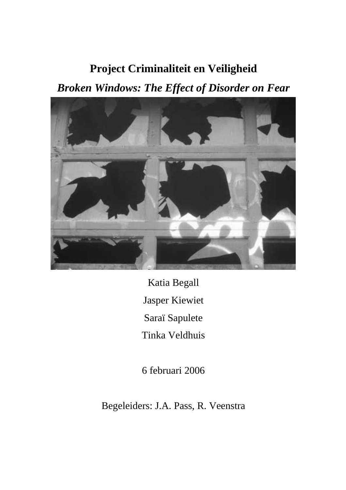# **Project Criminaliteit en Veiligheid**

*Broken Windows: The Effect of Disorder on Fear* 



Katia Begall Jasper Kiewiet Saraï Sapulete Tinka Veldhuis

6 februari 2006

Begeleiders: J.A. Pass, R. Veenstra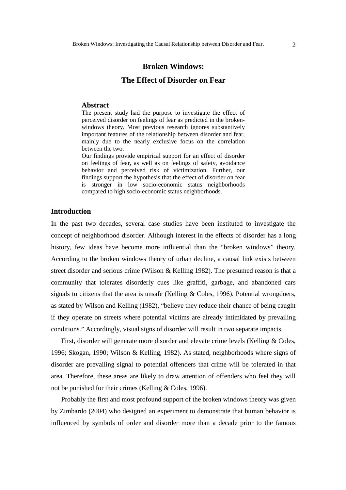## **Broken Windows:**

# **The Effect of Disorder on Fear**

#### **Abstract**

The present study had the purpose to investigate the effect of perceived disorder on feelings of fear as predicted in the brokenwindows theory. Most previous research ignores substantively important features of the relationship between disorder and fear, mainly due to the nearly exclusive focus on the correlation between the two.

Our findings provide empirical support for an effect of disorder on feelings of fear, as well as on feelings of safety, avoidance behavior and perceived risk of victimization. Further, our findings support the hypothesis that the effect of disorder on fear is stronger in low socio-economic status neighborhoods compared to high socio-economic status neighborhoods.

# **Introduction**

In the past two decades, several case studies have been instituted to investigate the concept of neighborhood disorder. Although interest in the effects of disorder has a long history, few ideas have become more influential than the "broken windows" theory. According to the broken windows theory of urban decline, a causal link exists between street disorder and serious crime (Wilson & Kelling 1982). The presumed reason is that a community that tolerates disorderly cues like graffiti, garbage, and abandoned cars signals to citizens that the area is unsafe (Kelling & Coles, 1996). Potential wrongdoers, as stated by Wilson and Kelling (1982), "believe they reduce their chance of being caught if they operate on streets where potential victims are already intimidated by prevailing conditions." Accordingly, visual signs of disorder will result in two separate impacts.

 First, disorder will generate more disorder and elevate crime levels (Kelling & Coles, 1996; Skogan, 1990; Wilson & Kelling, 1982). As stated, neighborhoods where signs of disorder are prevailing signal to potential offenders that crime will be tolerated in that area. Therefore, these areas are likely to draw attention of offenders who feel they will not be punished for their crimes (Kelling & Coles, 1996).

 Probably the first and most profound support of the broken windows theory was given by Zimbardo (2004) who designed an experiment to demonstrate that human behavior is influenced by symbols of order and disorder more than a decade prior to the famous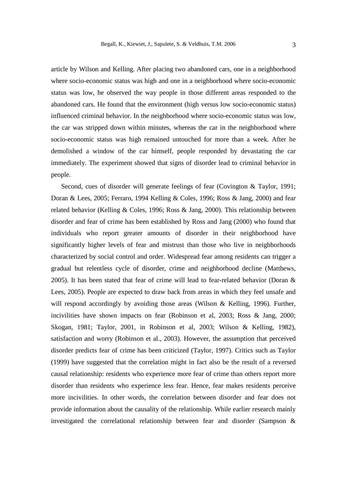article by Wilson and Kelling. After placing two abandoned cars, one in a neighborhood where socio-economic status was high and one in a neighborhood where socio-economic status was low, he observed the way people in those different areas responded to the abandoned cars. He found that the environment (high versus low socio-economic status) influenced criminal behavior. In the neighborhood where socio-economic status was low, the car was stripped down within minutes, whereas the car in the neighborhood where socio-economic status was high remained untouched for more than a week. After he demolished a window of the car himself, people responded by devastating the car immediately. The experiment showed that signs of disorder lead to criminal behavior in people.

 Second, cues of disorder will generate feelings of fear (Covington & Taylor, 1991; Doran & Lees, 2005; Ferraro, 1994 Kelling & Coles, 1996; Ross & Jang, 2000) and fear related behavior (Kelling & Coles, 1996; Ross & Jang, 2000). This relationship between disorder and fear of crime has been established by Ross and Jang (2000) who found that individuals who report greater amounts of disorder in their neighborhood have significantly higher levels of fear and mistrust than those who live in neighborhoods characterized by social control and order. Widespread fear among residents can trigger a gradual but relentless cycle of disorder, crime and neighborhood decline (Matthews, 2005). It has been stated that fear of crime will lead to fear-related behavior (Doran & Lees, 2005). People are expected to draw back from areas in which they feel unsafe and will respond accordingly by avoiding those areas (Wilson & Kelling, 1996). Further, incivilities have shown impacts on fear (Robinson et al, 2003; Ross & Jang, 2000; Skogan, 1981; Taylor, 2001, in Robinson et al, 2003; Wilson & Kelling, 1982), satisfaction and worry (Robinson et al., 2003). However, the assumption that perceived disorder predicts fear of crime has been criticized (Taylor, 1997). Critics such as Taylor (1999) have suggested that the correlation might in fact also be the result of a reversed causal relationship: residents who experience more fear of crime than others report more disorder than residents who experience less fear. Hence, fear makes residents perceive more incivilities. In other words, the correlation between disorder and fear does not provide information about the causality of the relationship. While earlier research mainly investigated the correlational relationship between fear and disorder (Sampson &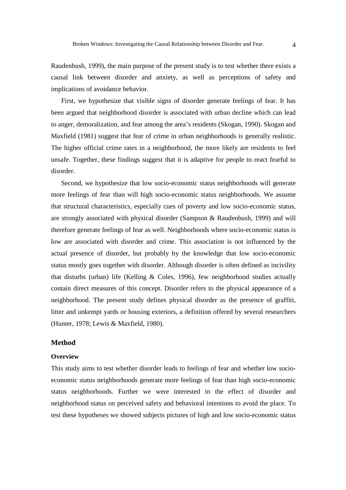Raudenbush, 1999), the main purpose of the present study is to test whether there exists a causal link between disorder and anxiety, as well as perceptions of safety and implications of avoidance behavior.

 First, we hypothesize that visible signs of disorder generate feelings of fear. It has been argued that neighborhood disorder is associated with urban decline which can lead to anger, demoralization, and fear among the area's residents (Skogan, 1990). Skogan and Maxfield (1981) suggest that fear of crime in urban neighborhoods is generally realistic. The higher official crime rates in a neighborhood, the more likely are residents to feel unsafe. Together, these findings suggest that it is adaptive for people to react fearful to disorder.

 Second, we hypothesize that low socio-economic status neighborhoods will generate more feelings of fear than will high socio-economic status neighborhoods. We assume that structural characteristics, especially cues of poverty and low socio-economic status, are strongly associated with physical disorder (Sampson & Raudenbush, 1999) and will therefore generate feelings of fear as well. Neighborhoods where socio-economic status is low are associated with disorder and crime. This association is not influenced by the actual presence of disorder, but probably by the knowledge that low socio-economic status mostly goes together with disorder. Although disorder is often defined as incivility that disturbs (urban) life (Kelling & Coles, 1996), few neighborhood studies actually contain direct measures of this concept. Disorder refers to the physical appearance of a neighborhood. The present study defines physical disorder as the presence of graffiti, litter and unkempt yards or housing exteriors, a definition offered by several researchers (Hunter, 1978; Lewis & Maxfield, 1980).

### **Method**

#### **Overview**

This study aims to test whether disorder leads to feelings of fear and whether low socioeconomic status neighborhoods generate more feelings of fear than high socio-economic status neighborhoods. Further we were interested in the effect of disorder and neighborhood status on perceived safety and behavioral intentions to avoid the place. To test these hypotheses we showed subjects pictures of high and low socio-economic status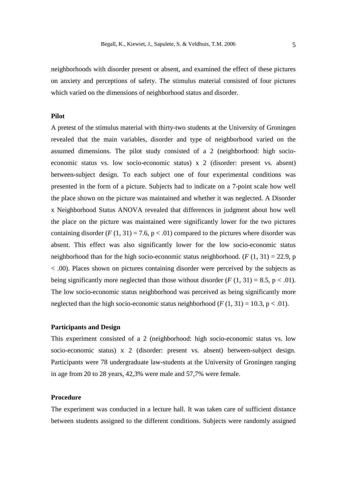neighborhoods with disorder present or absent, and examined the effect of these pictures on anxiety and perceptions of safety. The stimulus material consisted of four pictures which varied on the dimensions of neighborhood status and disorder.

## **Pilot**

A pretest of the stimulus material with thirty-two students at the University of Groningen revealed that the main variables, disorder and type of neighborhood varied on the assumed dimensions. The pilot study consisted of a 2 (neighborhood: high socioeconomic status vs. low socio-economic status) x 2 (disorder: present vs. absent) between-subject design. To each subject one of four experimental conditions was presented in the form of a picture. Subjects had to indicate on a 7-point scale how well the place shown on the picture was maintained and whether it was neglected. A Disorder x Neighborhood Status ANOVA revealed that differences in judgment about how well the place on the picture was maintained were significantly lower for the two pictures containing disorder ( $F(1, 31) = 7.6$ ,  $p < .01$ ) compared to the pictures where disorder was absent. This effect was also significantly lower for the low socio-economic status neighborhood than for the high socio-economic status neighborhood.  $(F (1, 31) = 22.9, p)$ < .00). Places shown on pictures containing disorder were perceived by the subjects as being significantly more neglected than those without disorder  $(F(1, 31) = 8.5, p < .01)$ . The low socio-economic status neighborhood was perceived as being significantly more neglected than the high socio-economic status neighborhood  $(F(1, 31) = 10.3, p < .01)$ .

## **Participants and Design**

This experiment consisted of a 2 (neighborhood: high socio-economic status vs. low socio-economic status) x 2 (disorder: present vs. absent) between-subject design. Participants were 78 undergraduate law-students at the University of Groningen ranging in age from 20 to 28 years, 42,3% were male and 57,7% were female.

## **Procedure**

The experiment was conducted in a lecture hall. It was taken care of sufficient distance between students assigned to the different conditions. Subjects were randomly assigned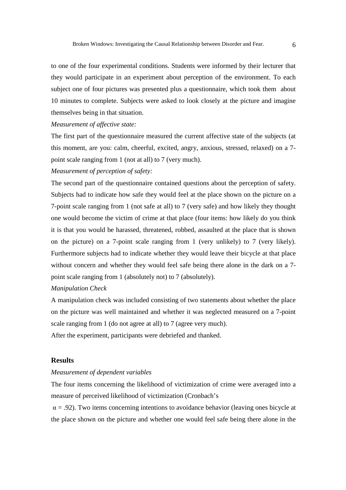to one of the four experimental conditions. Students were informed by their lecturer that they would participate in an experiment about perception of the environment. To each subject one of four pictures was presented plus a questionnaire, which took them about 10 minutes to complete. Subjects were asked to look closely at the picture and imagine themselves being in that situation.

## *Measurement of affective state:*

The first part of the questionnaire measured the current affective state of the subjects (at this moment, are you: calm, cheerful, excited, angry, anxious, stressed, relaxed) on a 7 point scale ranging from 1 (not at all) to 7 (very much).

#### *Measurement of perception of safety:*

The second part of the questionnaire contained questions about the perception of safety. Subjects had to indicate how safe they would feel at the place shown on the picture on a 7-point scale ranging from 1 (not safe at all) to 7 (very safe) and how likely they thought one would become the victim of crime at that place (four items: how likely do you think it is that you would be harassed, threatened, robbed, assaulted at the place that is shown on the picture) on a 7-point scale ranging from 1 (very unlikely) to 7 (very likely). Furthermore subjects had to indicate whether they would leave their bicycle at that place without concern and whether they would feel safe being there alone in the dark on a 7 point scale ranging from 1 (absolutely not) to 7 (absolutely).

### *Manipulation Check*

A manipulation check was included consisting of two statements about whether the place on the picture was well maintained and whether it was neglected measured on a 7-point scale ranging from 1 (do not agree at all) to 7 (agree very much).

After the experiment, participants were debriefed and thanked.

# **Results**

### *Measurement of dependent variables*

The four items concerning the likelihood of victimization of crime were averaged into a measure of perceived likelihood of victimization (Cronbach's

 $\alpha$  = .92). Two items concerning intentions to avoidance behavior (leaving ones bicycle at the place shown on the picture and whether one would feel safe being there alone in the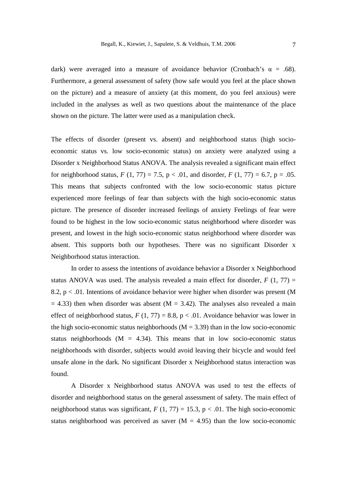dark) were averaged into a measure of avoidance behavior (Cronbach's  $\alpha = .68$ ). Furthermore, a general assessment of safety (how safe would you feel at the place shown on the picture) and a measure of anxiety (at this moment, do you feel anxious) were included in the analyses as well as two questions about the maintenance of the place shown on the picture. The latter were used as a manipulation check.

The effects of disorder (present vs. absent) and neighborhood status (high socioeconomic status vs. low socio-economic status) on anxiety were analyzed using a Disorder x Neighborhood Status ANOVA. The analysis revealed a significant main effect for neighborhood status,  $F(1, 77) = 7.5$ ,  $p < .01$ , and disorder,  $F(1, 77) = 6.7$ ,  $p = .05$ . This means that subjects confronted with the low socio-economic status picture experienced more feelings of fear than subjects with the high socio-economic status picture. The presence of disorder increased feelings of anxiety Feelings of fear were found to be highest in the low socio-economic status neighborhood where disorder was present, and lowest in the high socio-economic status neighborhood where disorder was absent. This supports both our hypotheses. There was no significant Disorder x Neighborhood status interaction.

In order to assess the intentions of avoidance behavior a Disorder x Neighborhood status ANOVA was used. The analysis revealed a main effect for disorder,  $F(1, 77) =$ 8.2,  $p < .01$ . Intentions of avoidance behavior were higher when disorder was present (M)  $= 4.33$ ) then when disorder was absent (M  $= 3.42$ ). The analyses also revealed a main effect of neighborhood status,  $F(1, 77) = 8.8$ ,  $p < .01$ . Avoidance behavior was lower in the high socio-economic status neighborhoods  $(M = 3.39)$  than in the low socio-economic status neighborhoods ( $M = 4.34$ ). This means that in low socio-economic status neighborhoods with disorder, subjects would avoid leaving their bicycle and would feel unsafe alone in the dark. No significant Disorder x Neighborhood status interaction was found.

A Disorder x Neighborhood status ANOVA was used to test the effects of disorder and neighborhood status on the general assessment of safety. The main effect of neighborhood status was significant,  $F(1, 77) = 15.3$ ,  $p < .01$ . The high socio-economic status neighborhood was perceived as saver  $(M = 4.95)$  than the low socio-economic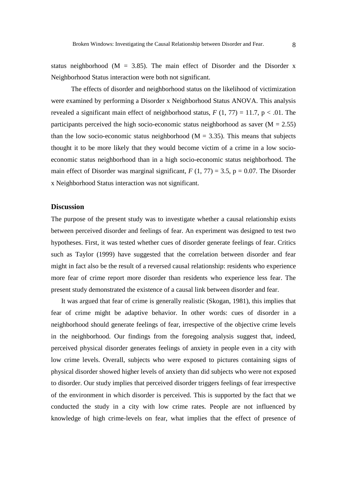status neighborhood ( $M = 3.85$ ). The main effect of Disorder and the Disorder x Neighborhood Status interaction were both not significant.

The effects of disorder and neighborhood status on the likelihood of victimization were examined by performing a Disorder x Neighborhood Status ANOVA. This analysis revealed a significant main effect of neighborhood status,  $F(1, 77) = 11.7$ ,  $p < .01$ . The participants perceived the high socio-economic status neighborhood as saver  $(M = 2.55)$ than the low socio-economic status neighborhood ( $M = 3.35$ ). This means that subjects thought it to be more likely that they would become victim of a crime in a low socioeconomic status neighborhood than in a high socio-economic status neighborhood. The main effect of Disorder was marginal significant,  $F(1, 77) = 3.5$ ,  $p = 0.07$ . The Disorder x Neighborhood Status interaction was not significant.

# **Discussion**

The purpose of the present study was to investigate whether a causal relationship exists between perceived disorder and feelings of fear. An experiment was designed to test two hypotheses. First, it was tested whether cues of disorder generate feelings of fear. Critics such as Taylor (1999) have suggested that the correlation between disorder and fear might in fact also be the result of a reversed causal relationship: residents who experience more fear of crime report more disorder than residents who experience less fear. The present study demonstrated the existence of a causal link between disorder and fear.

It was argued that fear of crime is generally realistic (Skogan, 1981), this implies that fear of crime might be adaptive behavior. In other words: cues of disorder in a neighborhood should generate feelings of fear, irrespective of the objective crime levels in the neighborhood. Our findings from the foregoing analysis suggest that, indeed, perceived physical disorder generates feelings of anxiety in people even in a city with low crime levels. Overall, subjects who were exposed to pictures containing signs of physical disorder showed higher levels of anxiety than did subjects who were not exposed to disorder. Our study implies that perceived disorder triggers feelings of fear irrespective of the environment in which disorder is perceived. This is supported by the fact that we conducted the study in a city with low crime rates. People are not influenced by knowledge of high crime-levels on fear, what implies that the effect of presence of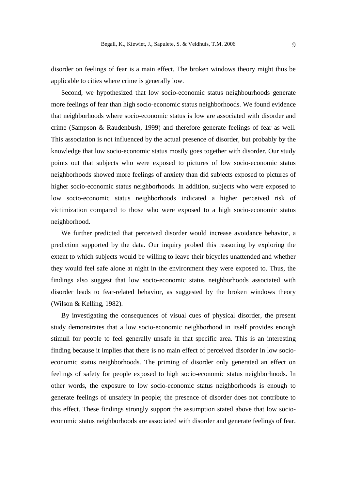disorder on feelings of fear is a main effect. The broken windows theory might thus be applicable to cities where crime is generally low.

Second, we hypothesized that low socio-economic status neighbourhoods generate more feelings of fear than high socio-economic status neighborhoods. We found evidence that neighborhoods where socio-economic status is low are associated with disorder and crime (Sampson & Raudenbush, 1999) and therefore generate feelings of fear as well. This association is not influenced by the actual presence of disorder, but probably by the knowledge that low socio-economic status mostly goes together with disorder. Our study points out that subjects who were exposed to pictures of low socio-economic status neighborhoods showed more feelings of anxiety than did subjects exposed to pictures of higher socio-economic status neighborhoods. In addition, subjects who were exposed to low socio-economic status neighborhoods indicated a higher perceived risk of victimization compared to those who were exposed to a high socio-economic status neighborhood.

We further predicted that perceived disorder would increase avoidance behavior, a prediction supported by the data. Our inquiry probed this reasoning by exploring the extent to which subjects would be willing to leave their bicycles unattended and whether they would feel safe alone at night in the environment they were exposed to. Thus, the findings also suggest that low socio-economic status neighborhoods associated with disorder leads to fear-related behavior, as suggested by the broken windows theory (Wilson & Kelling, 1982).

By investigating the consequences of visual cues of physical disorder, the present study demonstrates that a low socio-economic neighborhood in itself provides enough stimuli for people to feel generally unsafe in that specific area. This is an interesting finding because it implies that there is no main effect of perceived disorder in low socioeconomic status neighborhoods. The priming of disorder only generated an effect on feelings of safety for people exposed to high socio-economic status neighborhoods. In other words, the exposure to low socio-economic status neighborhoods is enough to generate feelings of unsafety in people; the presence of disorder does not contribute to this effect. These findings strongly support the assumption stated above that low socioeconomic status neighborhoods are associated with disorder and generate feelings of fear.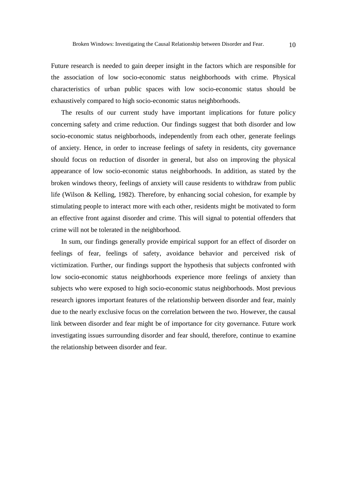Future research is needed to gain deeper insight in the factors which are responsible for the association of low socio-economic status neighborhoods with crime. Physical characteristics of urban public spaces with low socio-economic status should be exhaustively compared to high socio-economic status neighborhoods.

The results of our current study have important implications for future policy concerning safety and crime reduction. Our findings suggest that both disorder and low socio-economic status neighborhoods, independently from each other, generate feelings of anxiety. Hence, in order to increase feelings of safety in residents, city governance should focus on reduction of disorder in general, but also on improving the physical appearance of low socio-economic status neighborhoods. In addition, as stated by the broken windows theory, feelings of anxiety will cause residents to withdraw from public life (Wilson & Kelling, 1982). Therefore, by enhancing social cohesion, for example by stimulating people to interact more with each other, residents might be motivated to form an effective front against disorder and crime. This will signal to potential offenders that crime will not be tolerated in the neighborhood.

In sum, our findings generally provide empirical support for an effect of disorder on feelings of fear, feelings of safety, avoidance behavior and perceived risk of victimization. Further, our findings support the hypothesis that subjects confronted with low socio-economic status neighborhoods experience more feelings of anxiety than subjects who were exposed to high socio-economic status neighborhoods. Most previous research ignores important features of the relationship between disorder and fear, mainly due to the nearly exclusive focus on the correlation between the two. However, the causal link between disorder and fear might be of importance for city governance. Future work investigating issues surrounding disorder and fear should, therefore, continue to examine the relationship between disorder and fear.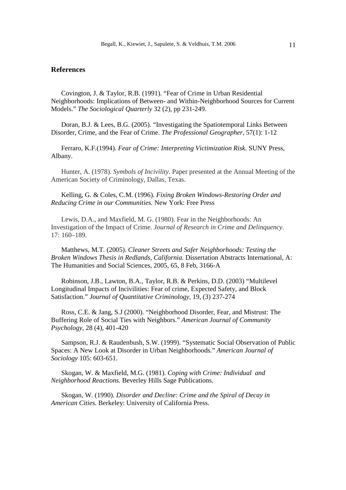# **References**

 Covington, J. & Taylor, R.B. (1991). "Fear of Crime in Urban Residential Neighborhoods: Implications of Between- and Within-Neighborhood Sources for Current Models." *The Sociological Quarterly* 32 (2), pp 231-249.

 Doran, B.J. & Lees, B.G. (2005). "Investigating the Spatiotemporal Links Between Disorder, Crime, and the Fear of Crime. *The Professional Geographer,* 57(1): 1-12

 Ferraro, K.F.(1994). *Fear of Crime: Interpreting Victimization Risk*. SUNY Press, Albany.

Hunter, A. (1978). *Symbols of Incivility.* Paper presented at the Annual Meeting of the American Society of Criminology, Dallas, Texas.

 Kelling, G. & Coles, C.M. (1996). *Fixing Broken Windows-Restoring Order and Reducing Crime in our Communities.* New York: Free Press

Lewis, D.A., and Maxfield, M. G. (1980). Fear in the Neighborhoods: An Investigation of the Impact of Crime. *Journal of Research in Crime and Delinquency*. 17: 160–189.

 Matthews, M.T. (2005). *Cleaner Streets and Safer Neighborhoods: Testing the Broken Windows Thesis in Redlands, California*. Dissertation Abstracts International, A: The Humanities and Social Sciences, 2005, 65, 8 Feb, 3166-A

 Robinson, J.B., Lawton, B.A., Taylor, R.B. & Perkins, D.D. (2003) "Multilevel Longitudinal Impacts of Incivilities: Fear of crime, Expected Safety, and Block Satisfaction." *Journal of Quantitative Criminology,* 19, (3) 237-274

 Ross, C.E. & Jang, S.J (2000). "Neighborhood Disorder, Fear, and Mistrust: The Buffering Role of Social Ties with Neighbors." *American Journal of Community Psychology,* 28 (4), 401-420

 Sampson, R.J. & Raudenbush, S.W. (1999). "Systematic Social Observation of Public Spaces: A New Look at Disorder in Urban Neighborhoods." *American Journal of Sociology* 105: 603-651.

 Skogan, W. & Maxfield, M.G. (1981). *Coping with Crime: Individual and Neighborhood Reactions.* Beverley Hills Sage Publications.

 Skogan, W. (1990). *Disorder and Decline: Crime and the Spiral of Decay in American Cities.* Berkeley: University of California Press.